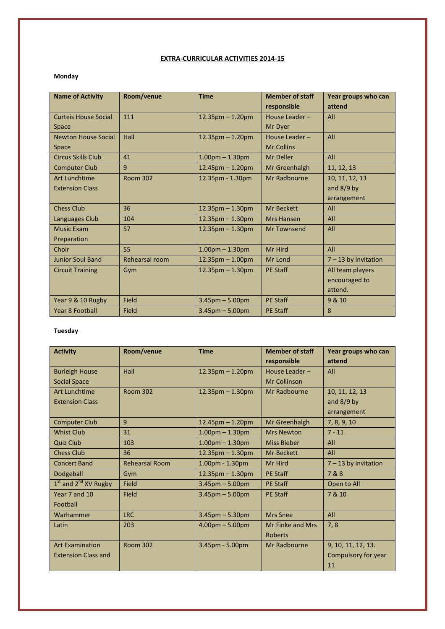### EXTRA-CURRICULAR ACTIVITIES 2014-15

#### Monday

| <b>Name of Activity</b>     | Room/venue      | <b>Time</b>            | <b>Member of staff</b> | Year groups who can    |
|-----------------------------|-----------------|------------------------|------------------------|------------------------|
|                             |                 |                        | responsible            | attend                 |
| <b>Curteis House Social</b> | 111             | $12.35$ pm $- 1.20$ pm | House Leader -         | All                    |
| <b>Space</b>                |                 |                        | Mr Dyer                |                        |
| <b>Newton House Social</b>  | Hall            | $12.35$ pm $- 1.20$ pm | House Leader-          | All                    |
| <b>Space</b>                |                 |                        | <b>Mr Collins</b>      |                        |
| Circus Skills Club          | 41              | $1.00pm - 1.30pm$      | <b>Mr Deller</b>       | All                    |
| <b>Computer Club</b>        | 9               | $12.45$ pm $- 1.20$ pm | Mr Greenhalgh          | 11, 12, 13             |
| <b>Art Lunchtime</b>        | <b>Room 302</b> | 12.35pm - 1.30pm       | Mr Radbourne           | 10, 11, 12, 13         |
| <b>Extension Class</b>      |                 |                        |                        | and $8/9$ by           |
|                             |                 |                        |                        | arrangement            |
| <b>Chess Club</b>           | 36              | $12.35$ pm $- 1.30$ pm | Mr Beckett             | All                    |
| Languages Club              | 104             | $12.35$ pm $- 1.30$ pm | <b>Mrs Hansen</b>      | All                    |
| <b>Music Exam</b>           | 57              | $12.35$ pm $- 1.30$ pm | <b>Mr Townsend</b>     | All                    |
| Preparation                 |                 |                        |                        |                        |
| Choir                       | 55              | $1.00pm - 1.30pm$      | Mr Hird                | All                    |
| <b>Junior Soul Band</b>     | Rehearsal room  | $12.35$ pm $-1.00$ pm  | Mr Lond                | $7 - 13$ by invitation |
| <b>Circuit Training</b>     | Gym             | $12.35$ pm $- 1.30$ pm | <b>PE Staff</b>        | All team players       |
|                             |                 |                        |                        | encouraged to          |
|                             |                 |                        |                        | attend.                |
| Year 9 & 10 Rugby           | Field           | $3.45$ pm $- 5.00$ pm  | <b>PE Staff</b>        | 9 & 10                 |
| <b>Year 8 Football</b>      | <b>Field</b>    | $3.45$ pm $- 5.00$ pm  | <b>PE Staff</b>        | 8                      |

#### Tuesday

| <b>Activity</b>            | Room/venue            | <b>Time</b>            | <b>Member of staff</b> | Year groups who can    |
|----------------------------|-----------------------|------------------------|------------------------|------------------------|
|                            |                       |                        | responsible            | attend                 |
| <b>Burleigh House</b>      | Hall                  | $12.35$ pm $- 1.20$ pm | House Leader -         | All                    |
| <b>Social Space</b>        |                       |                        | Mr Collinson           |                        |
| <b>Art Lunchtime</b>       | <b>Room 302</b>       | $12.35$ pm $- 1.30$ pm | Mr Radbourne           | 10, 11, 12, 13         |
| <b>Extension Class</b>     |                       |                        |                        | and $8/9$ by           |
|                            |                       |                        |                        | arrangement            |
| <b>Computer Club</b>       | 9                     | $12.45$ pm $- 1.20$ pm | Mr Greenhalgh          | 7, 8, 9, 10            |
| <b>Whist Club</b>          | 31                    | $1.00pm - 1.30pm$      | <b>Mrs Newton</b>      | $7 - 11$               |
| <b>Quiz Club</b>           | 103                   | $1.00$ pm $- 1.30$ pm  | <b>Miss Bieber</b>     | All                    |
| <b>Chess Club</b>          | 36                    | $12.35$ pm $- 1.30$ pm | Mr Beckett             | All                    |
| <b>Concert Band</b>        | <b>Rehearsal Room</b> | $1.00pm - 1.30pm$      | Mr Hird                | $7 - 13$ by invitation |
| Dodgeball                  | Gym                   | $12.35$ pm $- 1.30$ pm | <b>PE Staff</b>        | 7&8                    |
| $1st$ and $2nd$ XV Rugby   | <b>Field</b>          | $3.45$ pm $- 5.00$ pm  | <b>PE Staff</b>        | Open to All            |
| Year 7 and 10              | Field                 | $3.45$ pm $- 5.00$ pm  | <b>PE Staff</b>        | 7 & 10                 |
| Football                   |                       |                        |                        |                        |
| Warhammer                  | <b>LRC</b>            | $3.45$ pm $- 5.30$ pm  | <b>Mrs Snee</b>        | All                    |
| Latin                      | 203                   | $4.00pm - 5.00pm$      | Mr Finke and Mrs       | 7, 8                   |
|                            |                       |                        | <b>Roberts</b>         |                        |
| <b>Art Examination</b>     | <b>Room 302</b>       | 3.45pm - 5.00pm        | Mr Radbourne           | 9, 10, 11, 12, 13.     |
| <b>Extension Class and</b> |                       |                        |                        | Compulsory for year    |
|                            |                       |                        |                        | 11                     |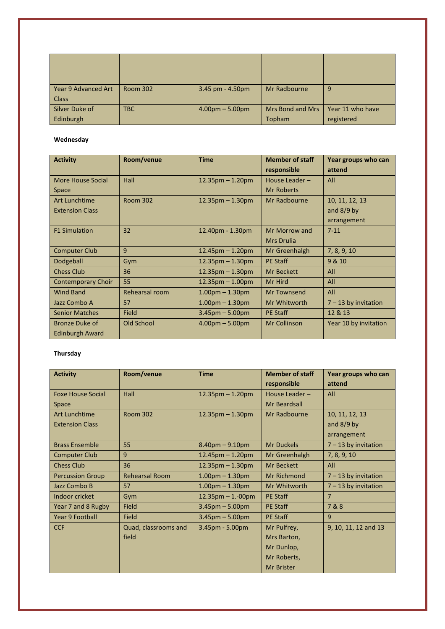| <b>Year 9 Advanced Art</b> | <b>Room 302</b> | 3.45 pm - 4.50pm  | Mr Radbourne            | 9                |
|----------------------------|-----------------|-------------------|-------------------------|------------------|
| <b>Class</b>               |                 |                   |                         |                  |
| Silver Duke of             | <b>TBC</b>      | $4.00pm - 5.00pm$ | <b>Mrs Bond and Mrs</b> | Year 11 who have |
| Edinburgh                  |                 |                   | Topham                  | registered       |

#### Wednesday

| <b>Activity</b>           | Room/venue      | <b>Time</b>            | <b>Member of staff</b> | Year groups who can    |
|---------------------------|-----------------|------------------------|------------------------|------------------------|
|                           |                 |                        | responsible            | attend                 |
| More House Social         | Hall            | $12.35$ pm $-1.20$ pm  | House Leader-          | All                    |
| Space                     |                 |                        | <b>Mr Roberts</b>      |                        |
| <b>Art Lunchtime</b>      | <b>Room 302</b> | $12.35$ pm $- 1.30$ pm | Mr Radbourne           | 10, 11, 12, 13         |
| <b>Extension Class</b>    |                 |                        |                        | and $8/9$ by           |
|                           |                 |                        |                        | arrangement            |
| <b>F1 Simulation</b>      | 32              | 12.40pm - 1.30pm       | Mr Morrow and          | $7 - 11$               |
|                           |                 |                        | <b>Mrs Drulia</b>      |                        |
| <b>Computer Club</b>      | 9               | $12.45$ pm $- 1.20$ pm | Mr Greenhalgh          | 7, 8, 9, 10            |
| Dodgeball                 | Gym             | $12.35$ pm $- 1.30$ pm | <b>PE Staff</b>        | 9 & 10                 |
| <b>Chess Club</b>         | 36              | $12.35$ pm $-1.30$ pm  | <b>Mr Beckett</b>      | All                    |
| <b>Contemporary Choir</b> | 55              | $12.35$ pm $-1.00$ pm  | Mr Hird                | All                    |
| <b>Wind Band</b>          | Rehearsal room  | $1.00pm - 1.30pm$      | Mr Townsend            | All                    |
| Jazz Combo A              | 57              | $1.00pm - 1.30pm$      | Mr Whitworth           | $7 - 13$ by invitation |
| <b>Senior Matches</b>     | Field           | $3.45$ pm $- 5.00$ pm  | <b>PE Staff</b>        | 12 & 13                |
| <b>Bronze Duke of</b>     | Old School      | $4.00pm - 5.00pm$      | <b>Mr Collinson</b>    | Year 10 by invitation  |
| <b>Edinburgh Award</b>    |                 |                        |                        |                        |

## Thursday

| <b>Activity</b>          | Room/venue            | <b>Time</b>             | <b>Member of staff</b> | Year groups who can    |
|--------------------------|-----------------------|-------------------------|------------------------|------------------------|
|                          |                       |                         | responsible            | attend                 |
| <b>Foxe House Social</b> | Hall                  | $12.35$ pm $-1.20$ pm   | House Leader -         | All                    |
| Space                    |                       |                         | Mr Beardsall           |                        |
| <b>Art Lunchtime</b>     | <b>Room 302</b>       | $12.35$ pm $- 1.30$ pm  | Mr Radbourne           | 10, 11, 12, 13         |
| <b>Extension Class</b>   |                       |                         |                        | and $8/9$ by           |
|                          |                       |                         |                        | arrangement            |
| <b>Brass Ensemble</b>    | 55                    | $8.40$ pm $- 9.10$ pm   | <b>Mr Duckels</b>      | $7 - 13$ by invitation |
| <b>Computer Club</b>     | 9                     | $12.45$ pm $- 1.20$ pm  | Mr Greenhalgh          | 7, 8, 9, 10            |
| <b>Chess Club</b>        | 36                    | $12.35$ pm $- 1.30$ pm  | <b>Mr Beckett</b>      | All                    |
| <b>Percussion Group</b>  | <b>Rehearsal Room</b> | $1.00$ pm $- 1.30$ pm   | <b>Mr Richmond</b>     | $7 - 13$ by invitation |
| Jazz Combo B             | 57                    | $1.00$ pm $- 1.30$ pm   | Mr Whitworth           | $7 - 13$ by invitation |
| Indoor cricket           | Gym                   | $12.35$ pm $- 1.-00$ pm | <b>PE Staff</b>        | $\overline{7}$         |
| Year 7 and 8 Rugby       | Field                 | $3.45$ pm $- 5.00$ pm   | <b>PE Staff</b>        | 7&8                    |
| <b>Year 9 Football</b>   | <b>Field</b>          | $3.45$ pm $- 5.00$ pm   | <b>PE Staff</b>        | 9                      |
| <b>CCF</b>               | Quad, classrooms and  | $3.45$ pm - 5.00pm      | Mr Pulfrey,            | 9, 10, 11, 12 and 13   |
|                          | field                 |                         | Mrs Barton,            |                        |
|                          |                       |                         | Mr Dunlop,             |                        |
|                          |                       |                         | Mr Roberts,            |                        |
|                          |                       |                         | <b>Mr Brister</b>      |                        |